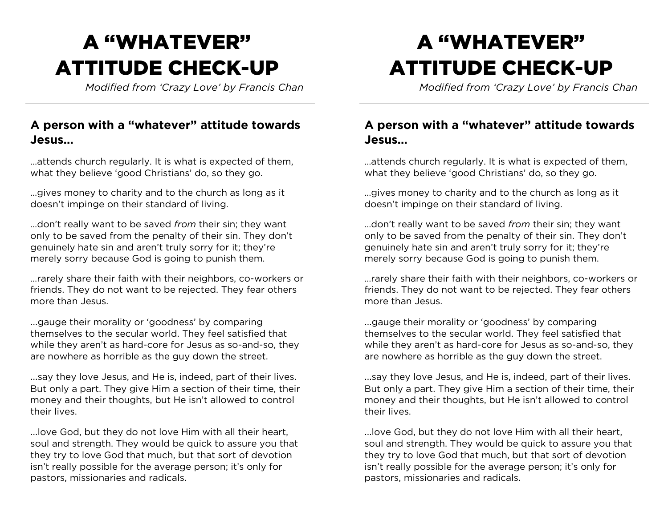## A "WHATEVER" ATTITUDE CHECK-UP

*Modified from 'Crazy Love' by Francis Chan*

## **A person with a "whatever" attitude towards Jesus…**

…attends church regularly. It is what is expected of them, what they believe 'good Christians' do, so they go.

…gives money to charity and to the church as long as it doesn't impinge on their standard of living.

…don't really want to be saved *from* their sin; they want only to be saved from the penalty of their sin. They don't genuinely hate sin and aren't truly sorry for it; they're merely sorry because God is going to punish them.

…rarely share their faith with their neighbors, co-workers or friends. They do not want to be rejected. They fear others more than Jesus.

…gauge their morality or 'goodness' by comparing themselves to the secular world. They feel satisfied that while they aren't as hard-core for Jesus as so-and-so, they are nowhere as horrible as the guy down the street.

…say they love Jesus, and He is, indeed, part of their lives. But only a part. They give Him a section of their time, their money and their thoughts, but He isn't allowed to control their lives.

…love God, but they do not love Him with all their heart, soul and strength. They would be quick to assure you that they try to love God that much, but that sort of devotion isn't really possible for the average person; it's only for pastors, missionaries and radicals.